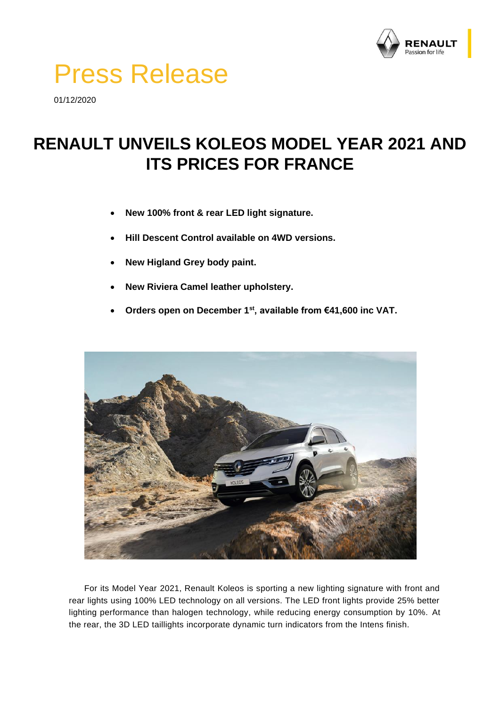

## Press Release

01/12/2020

## **RENAULT UNVEILS KOLEOS MODEL YEAR 2021 AND ITS PRICES FOR FRANCE**

- **New 100% front & rear LED light signature.**
- **Hill Descent Control available on 4WD versions.**
- **New Higland Grey body paint.**
- **New Riviera Camel leather upholstery.**
- **Orders open on December 1st, available from €41,600 inc VAT.**



For its Model Year 2021, Renault Koleos is sporting a new lighting signature with front and rear lights using 100% LED technology on all versions. The LED front lights provide 25% better lighting performance than halogen technology, while reducing energy consumption by 10%. At the rear, the 3D LED taillights incorporate dynamic turn indicators from the Intens finish.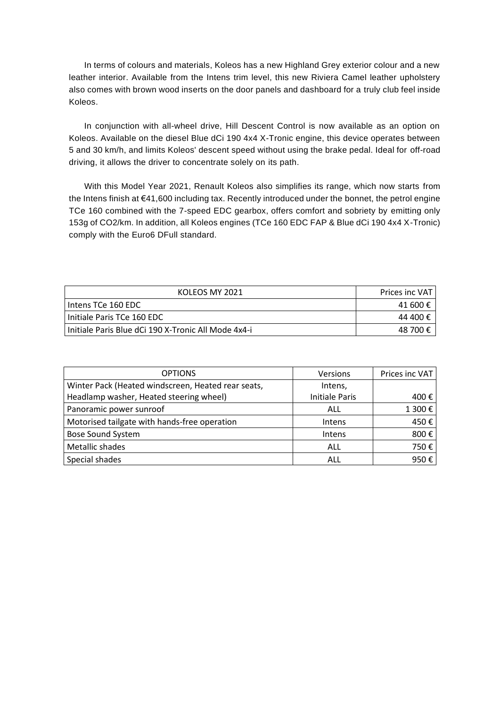In terms of colours and materials, Koleos has a new Highland Grey exterior colour and a new leather interior. Available from the Intens trim level, this new Riviera Camel leather upholstery also comes with brown wood inserts on the door panels and dashboard for a truly club feel inside Koleos.

In conjunction with all-wheel drive, Hill Descent Control is now available as an option on Koleos. Available on the diesel Blue dCi 190 4x4 X-Tronic engine, this device operates between 5 and 30 km/h, and limits Koleos' descent speed without using the brake pedal. Ideal for off-road driving, it allows the driver to concentrate solely on its path.

With this Model Year 2021, Renault Koleos also simplifies its range, which now starts from the Intens finish at €41,600 including tax. Recently introduced under the bonnet, the petrol engine TCe 160 combined with the 7-speed EDC gearbox, offers comfort and sobriety by emitting only 153g of CO2/km. In addition, all Koleos engines (TCe 160 EDC FAP & Blue dCi 190 4x4 X-Tronic) comply with the Euro6 DFull standard.

| KOLEOS MY 2021                                      | <b>Prices inc VAT</b> I |
|-----------------------------------------------------|-------------------------|
| Intens TCe 160 EDC                                  | 41 600 €                |
| Initiale Paris TCe 160 EDC                          | 44 400 €                |
| Initiale Paris Blue dCi 190 X-Tronic All Mode 4x4-i | 48 700 €                |

| <b>OPTIONS</b>                                     | Versions              | Prices inc VAT |
|----------------------------------------------------|-----------------------|----------------|
| Winter Pack (Heated windscreen, Heated rear seats, | Intens,               |                |
| Headlamp washer, Heated steering wheel)            | <b>Initiale Paris</b> | 400 €          |
| Panoramic power sunroof                            | ALL                   | 1 300€         |
| Motorised tailgate with hands-free operation       | Intens                | 450€           |
| <b>Bose Sound System</b>                           | Intens                | 800€           |
| Metallic shades                                    | ALL                   | 750€           |
| Special shades                                     | ALL                   | 950€           |